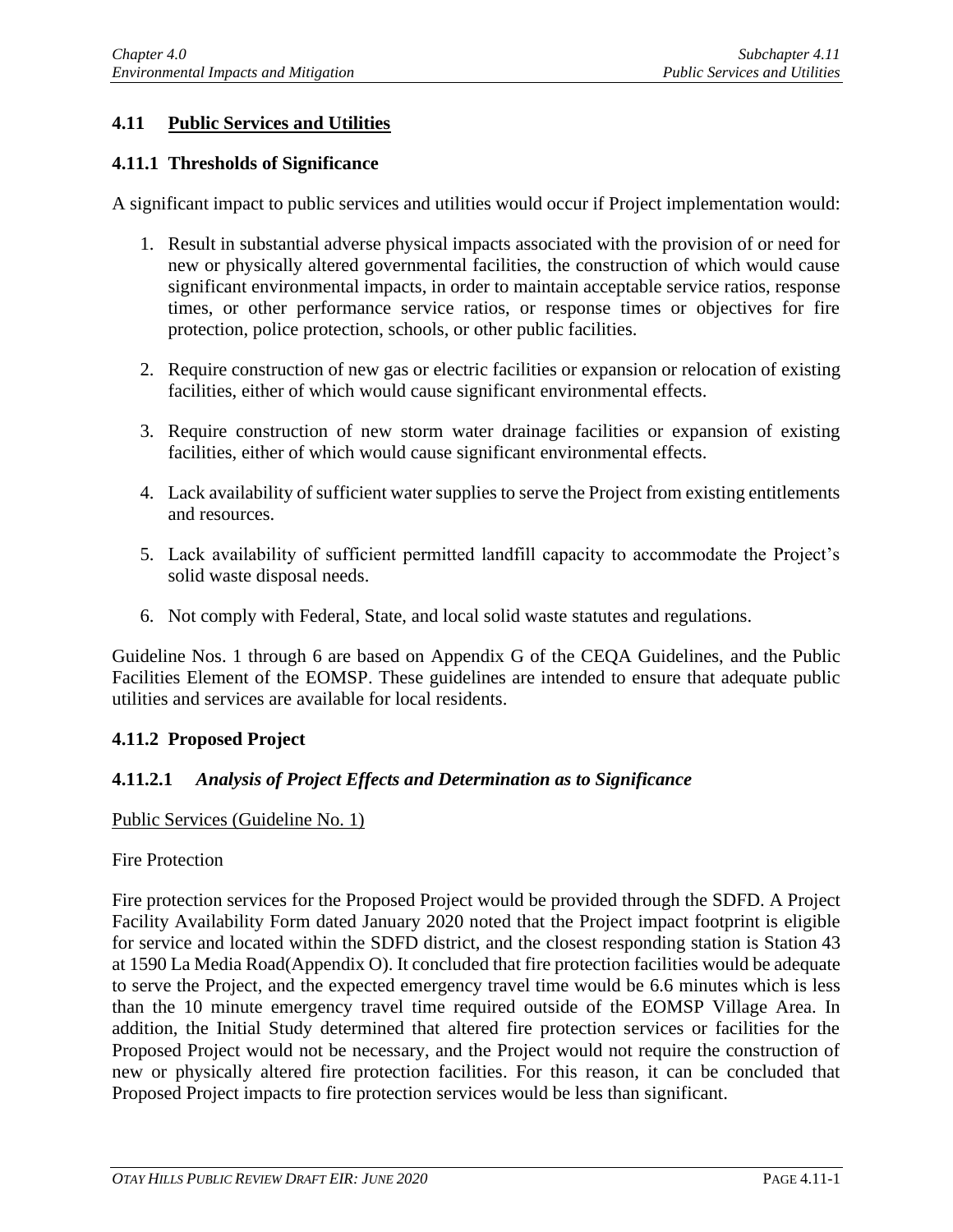# **4.11 Public Services and Utilities**

### **4.11.1 Thresholds of Significance**

A significant impact to public services and utilities would occur if Project implementation would:

- 1. Result in substantial adverse physical impacts associated with the provision of or need for new or physically altered governmental facilities, the construction of which would cause significant environmental impacts, in order to maintain acceptable service ratios, response times, or other performance service ratios, or response times or objectives for fire protection, police protection, schools, or other public facilities.
- 2. Require construction of new gas or electric facilities or expansion or relocation of existing facilities, either of which would cause significant environmental effects.
- 3. Require construction of new storm water drainage facilities or expansion of existing facilities, either of which would cause significant environmental effects.
- 4. Lack availability of sufficient water supplies to serve the Project from existing entitlements and resources.
- 5. Lack availability of sufficient permitted landfill capacity to accommodate the Project's solid waste disposal needs.
- 6. Not comply with Federal, State, and local solid waste statutes and regulations.

Guideline Nos. 1 through 6 are based on Appendix G of the CEQA Guidelines, and the Public Facilities Element of the EOMSP. These guidelines are intended to ensure that adequate public utilities and services are available for local residents.

## **4.11.2 Proposed Project**

## **4.11.2.1** *Analysis of Project Effects and Determination as to Significance*

Public Services (Guideline No. 1)

#### Fire Protection

Fire protection services for the Proposed Project would be provided through the SDFD. A Project Facility Availability Form dated January 2020 noted that the Project impact footprint is eligible for service and located within the SDFD district, and the closest responding station is Station 43 at 1590 La Media Road(Appendix O). It concluded that fire protection facilities would be adequate to serve the Project, and the expected emergency travel time would be 6.6 minutes which is less than the 10 minute emergency travel time required outside of the EOMSP Village Area. In addition, the Initial Study determined that altered fire protection services or facilities for the Proposed Project would not be necessary, and the Project would not require the construction of new or physically altered fire protection facilities. For this reason, it can be concluded that Proposed Project impacts to fire protection services would be less than significant.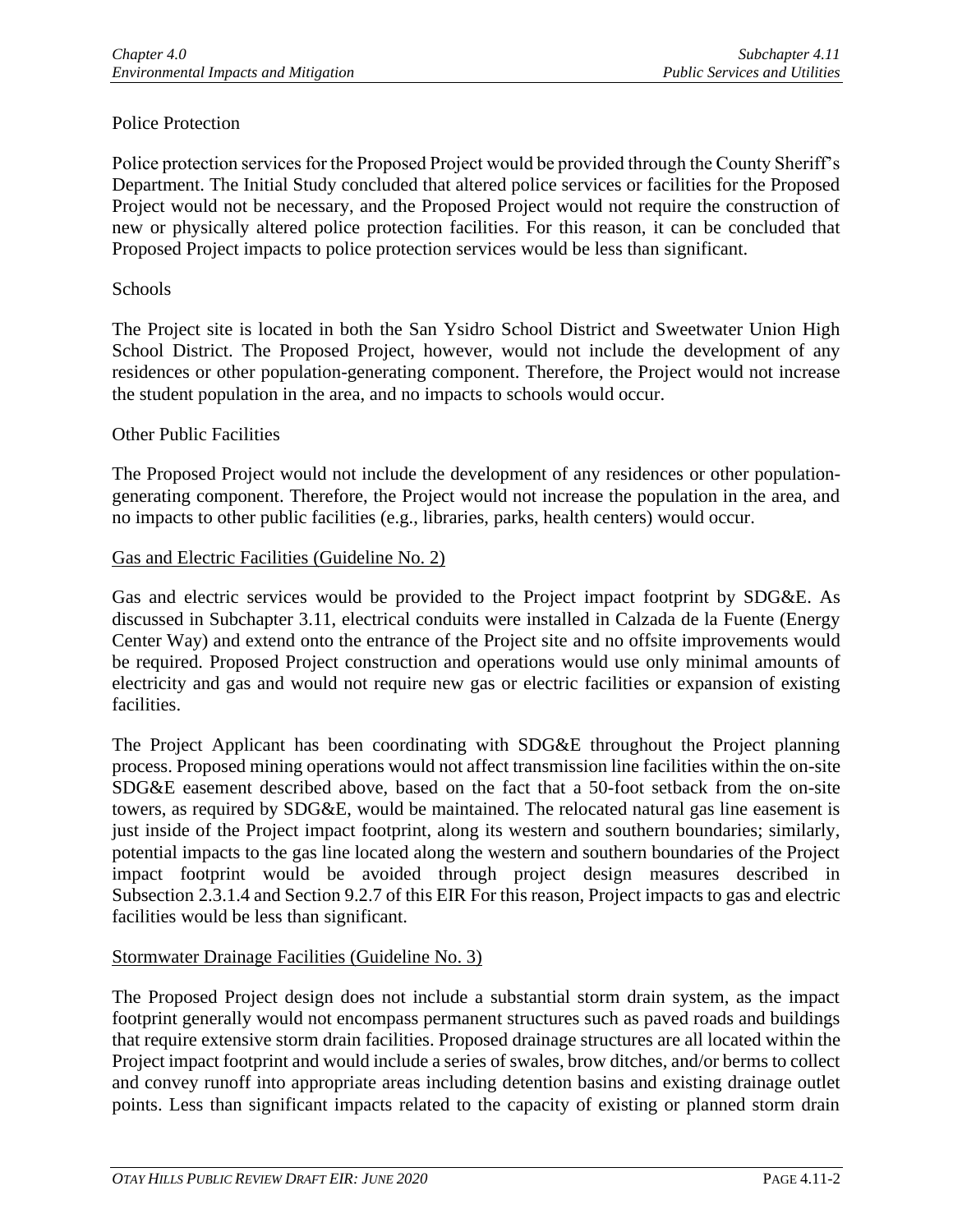## Police Protection

Police protection services for the Proposed Project would be provided through the County Sheriff's Department. The Initial Study concluded that altered police services or facilities for the Proposed Project would not be necessary, and the Proposed Project would not require the construction of new or physically altered police protection facilities. For this reason, it can be concluded that Proposed Project impacts to police protection services would be less than significant.

### **Schools**

The Project site is located in both the San Ysidro School District and Sweetwater Union High School District. The Proposed Project, however, would not include the development of any residences or other population-generating component. Therefore, the Project would not increase the student population in the area, and no impacts to schools would occur.

### Other Public Facilities

The Proposed Project would not include the development of any residences or other populationgenerating component. Therefore, the Project would not increase the population in the area, and no impacts to other public facilities (e.g., libraries, parks, health centers) would occur.

### Gas and Electric Facilities (Guideline No. 2)

Gas and electric services would be provided to the Project impact footprint by SDG&E. As discussed in Subchapter 3.11, electrical conduits were installed in Calzada de la Fuente (Energy Center Way) and extend onto the entrance of the Project site and no offsite improvements would be required. Proposed Project construction and operations would use only minimal amounts of electricity and gas and would not require new gas or electric facilities or expansion of existing facilities.

The Project Applicant has been coordinating with SDG&E throughout the Project planning process. Proposed mining operations would not affect transmission line facilities within the on-site SDG&E easement described above, based on the fact that a 50-foot setback from the on-site towers, as required by SDG&E, would be maintained. The relocated natural gas line easement is just inside of the Project impact footprint, along its western and southern boundaries; similarly, potential impacts to the gas line located along the western and southern boundaries of the Project impact footprint would be avoided through project design measures described in Subsection 2.3.1.4 and Section 9.2.7 of this EIR For this reason, Project impacts to gas and electric facilities would be less than significant.

## Stormwater Drainage Facilities (Guideline No. 3)

The Proposed Project design does not include a substantial storm drain system, as the impact footprint generally would not encompass permanent structures such as paved roads and buildings that require extensive storm drain facilities. Proposed drainage structures are all located within the Project impact footprint and would include a series of swales, brow ditches, and/or berms to collect and convey runoff into appropriate areas including detention basins and existing drainage outlet points. Less than significant impacts related to the capacity of existing or planned storm drain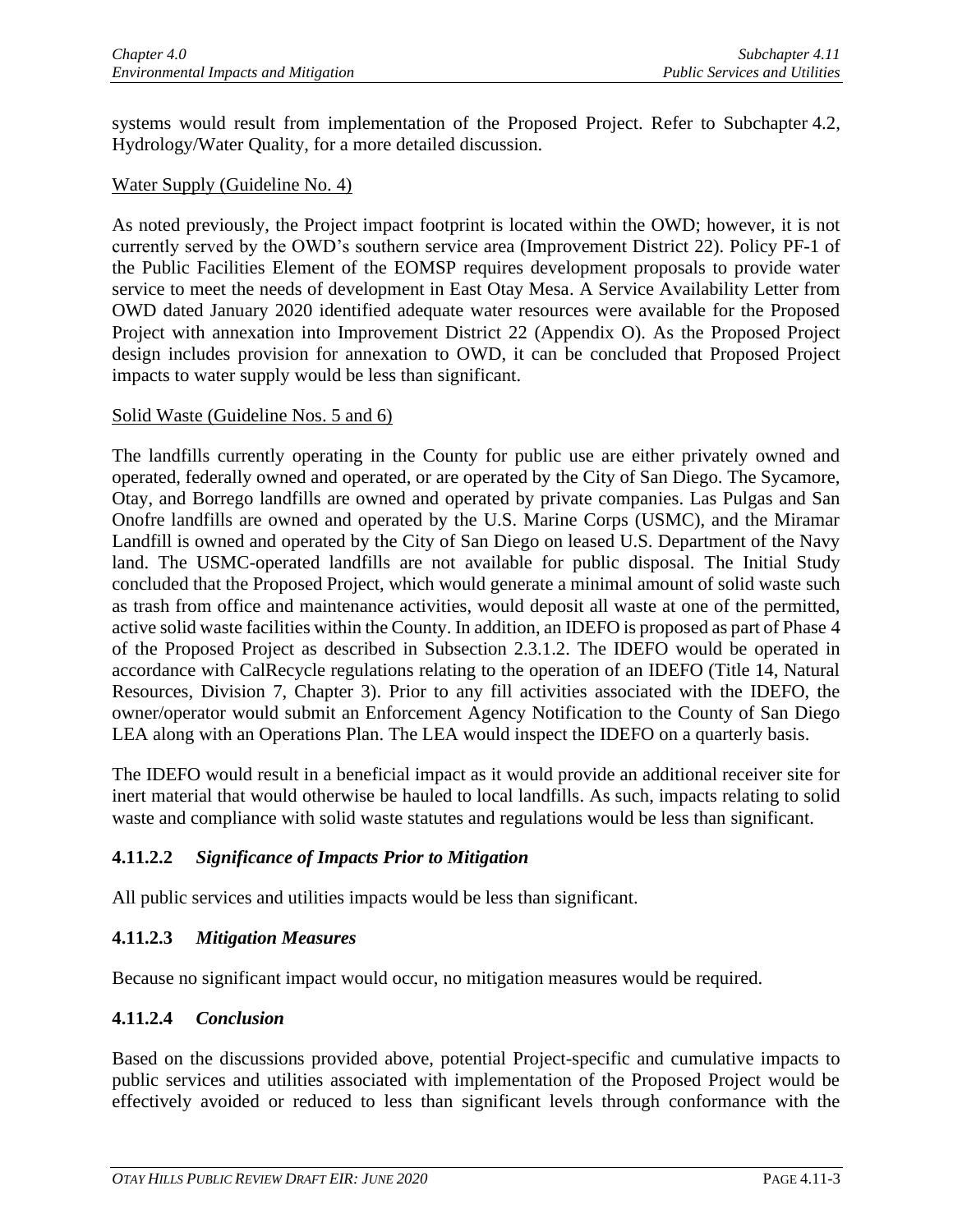systems would result from implementation of the Proposed Project. Refer to Subchapter 4.2, Hydrology/Water Quality, for a more detailed discussion.

#### Water Supply (Guideline No. 4)

As noted previously, the Project impact footprint is located within the OWD; however, it is not currently served by the OWD's southern service area (Improvement District 22). Policy PF-1 of the Public Facilities Element of the EOMSP requires development proposals to provide water service to meet the needs of development in East Otay Mesa. A Service Availability Letter from OWD dated January 2020 identified adequate water resources were available for the Proposed Project with annexation into Improvement District 22 (Appendix O). As the Proposed Project design includes provision for annexation to OWD, it can be concluded that Proposed Project impacts to water supply would be less than significant.

#### Solid Waste (Guideline Nos. 5 and 6)

The landfills currently operating in the County for public use are either privately owned and operated, federally owned and operated, or are operated by the City of San Diego. The Sycamore, Otay, and Borrego landfills are owned and operated by private companies. Las Pulgas and San Onofre landfills are owned and operated by the U.S. Marine Corps (USMC), and the Miramar Landfill is owned and operated by the City of San Diego on leased U.S. Department of the Navy land. The USMC-operated landfills are not available for public disposal. The Initial Study concluded that the Proposed Project, which would generate a minimal amount of solid waste such as trash from office and maintenance activities, would deposit all waste at one of the permitted, active solid waste facilities within the County. In addition, an IDEFO is proposed as part of Phase 4 of the Proposed Project as described in Subsection 2.3.1.2. The IDEFO would be operated in accordance with CalRecycle regulations relating to the operation of an IDEFO (Title 14, Natural Resources, Division 7, Chapter 3). Prior to any fill activities associated with the IDEFO, the owner/operator would submit an Enforcement Agency Notification to the County of San Diego LEA along with an Operations Plan. The LEA would inspect the IDEFO on a quarterly basis.

The IDEFO would result in a beneficial impact as it would provide an additional receiver site for inert material that would otherwise be hauled to local landfills. As such, impacts relating to solid waste and compliance with solid waste statutes and regulations would be less than significant.

## **4.11.2.2** *Significance of Impacts Prior to Mitigation*

All public services and utilities impacts would be less than significant.

## **4.11.2.3** *Mitigation Measures*

Because no significant impact would occur, no mitigation measures would be required.

## **4.11.2.4** *Conclusion*

Based on the discussions provided above, potential Project-specific and cumulative impacts to public services and utilities associated with implementation of the Proposed Project would be effectively avoided or reduced to less than significant levels through conformance with the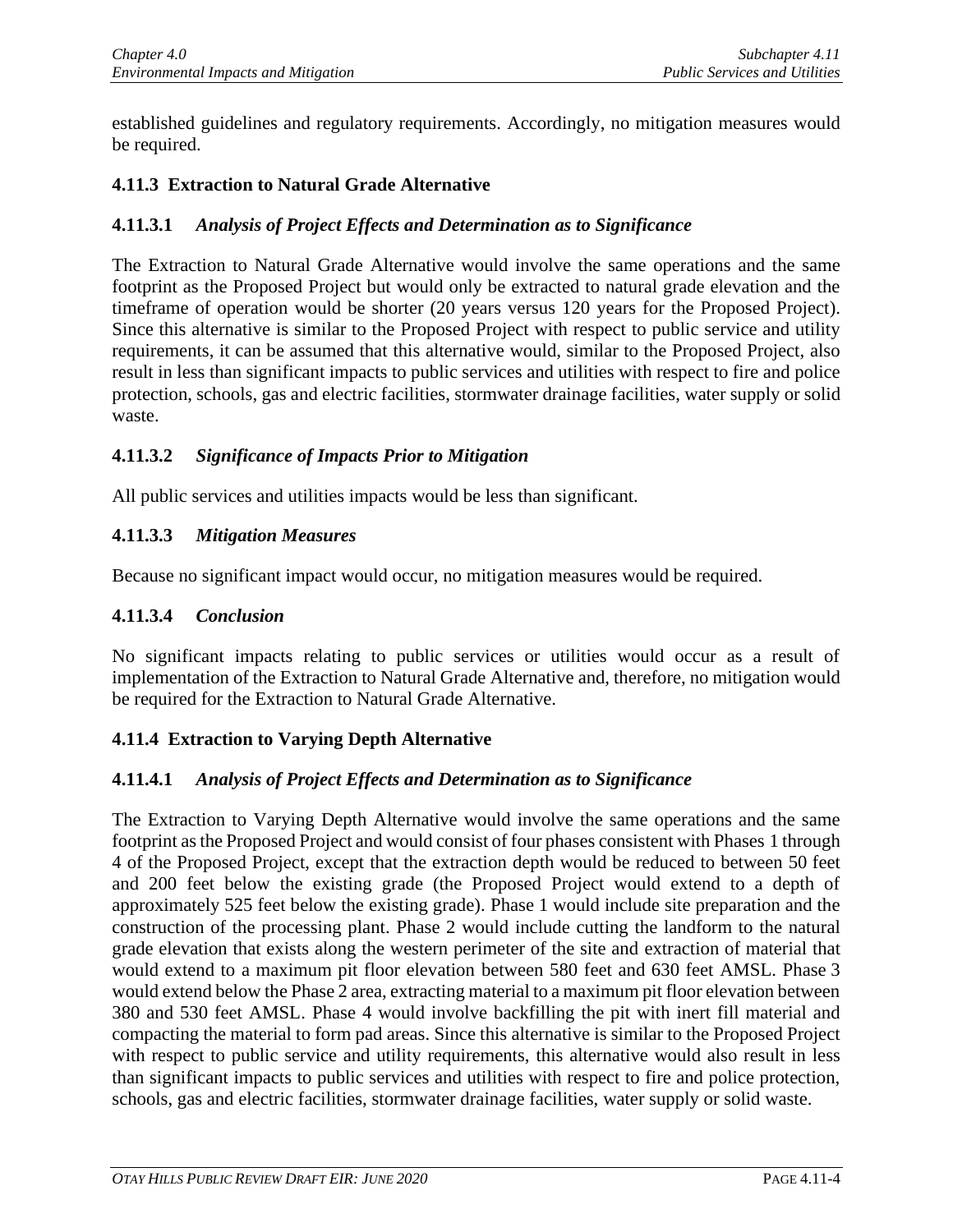established guidelines and regulatory requirements. Accordingly, no mitigation measures would be required.

## **4.11.3 Extraction to Natural Grade Alternative**

## **4.11.3.1** *Analysis of Project Effects and Determination as to Significance*

The Extraction to Natural Grade Alternative would involve the same operations and the same footprint as the Proposed Project but would only be extracted to natural grade elevation and the timeframe of operation would be shorter (20 years versus 120 years for the Proposed Project). Since this alternative is similar to the Proposed Project with respect to public service and utility requirements, it can be assumed that this alternative would, similar to the Proposed Project, also result in less than significant impacts to public services and utilities with respect to fire and police protection, schools, gas and electric facilities, stormwater drainage facilities, water supply or solid waste.

## **4.11.3.2** *Significance of Impacts Prior to Mitigation*

All public services and utilities impacts would be less than significant.

## **4.11.3.3** *Mitigation Measures*

Because no significant impact would occur, no mitigation measures would be required.

### **4.11.3.4** *Conclusion*

No significant impacts relating to public services or utilities would occur as a result of implementation of the Extraction to Natural Grade Alternative and, therefore, no mitigation would be required for the Extraction to Natural Grade Alternative.

## **4.11.4 Extraction to Varying Depth Alternative**

## **4.11.4.1** *Analysis of Project Effects and Determination as to Significance*

The Extraction to Varying Depth Alternative would involve the same operations and the same footprint as the Proposed Project and would consist of four phases consistent with Phases 1 through 4 of the Proposed Project, except that the extraction depth would be reduced to between 50 feet and 200 feet below the existing grade (the Proposed Project would extend to a depth of approximately 525 feet below the existing grade). Phase 1 would include site preparation and the construction of the processing plant. Phase 2 would include cutting the landform to the natural grade elevation that exists along the western perimeter of the site and extraction of material that would extend to a maximum pit floor elevation between 580 feet and 630 feet AMSL. Phase 3 would extend below the Phase 2 area, extracting material to a maximum pit floor elevation between 380 and 530 feet AMSL. Phase 4 would involve backfilling the pit with inert fill material and compacting the material to form pad areas. Since this alternative is similar to the Proposed Project with respect to public service and utility requirements, this alternative would also result in less than significant impacts to public services and utilities with respect to fire and police protection, schools, gas and electric facilities, stormwater drainage facilities, water supply or solid waste.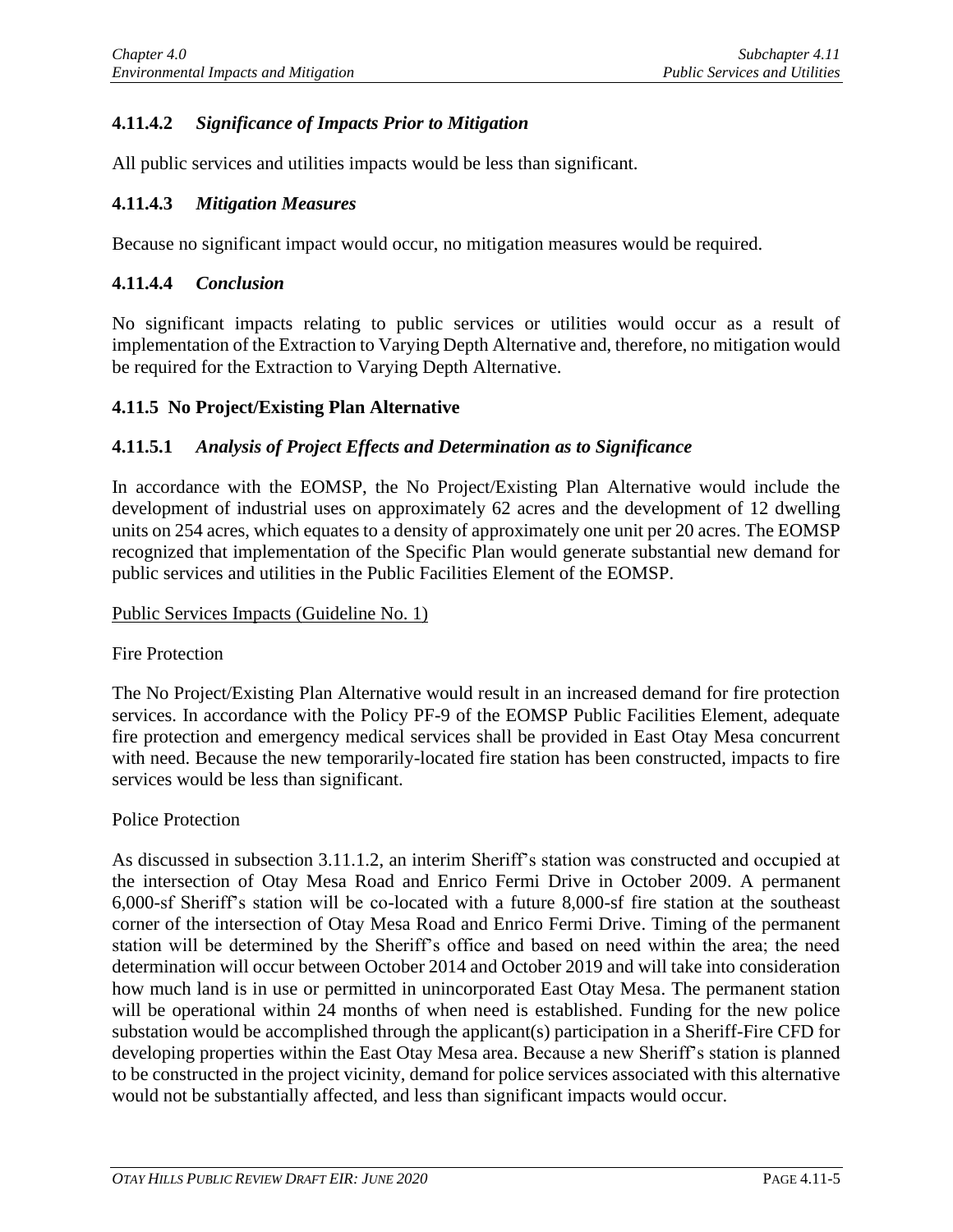## **4.11.4.2** *Significance of Impacts Prior to Mitigation*

All public services and utilities impacts would be less than significant.

#### **4.11.4.3** *Mitigation Measures*

Because no significant impact would occur, no mitigation measures would be required.

#### **4.11.4.4** *Conclusion*

No significant impacts relating to public services or utilities would occur as a result of implementation of the Extraction to Varying Depth Alternative and, therefore, no mitigation would be required for the Extraction to Varying Depth Alternative.

#### **4.11.5 No Project/Existing Plan Alternative**

### **4.11.5.1** *Analysis of Project Effects and Determination as to Significance*

In accordance with the EOMSP, the No Project/Existing Plan Alternative would include the development of industrial uses on approximately 62 acres and the development of 12 dwelling units on 254 acres, which equates to a density of approximately one unit per 20 acres. The EOMSP recognized that implementation of the Specific Plan would generate substantial new demand for public services and utilities in the Public Facilities Element of the EOMSP.

#### Public Services Impacts (Guideline No. 1)

#### Fire Protection

The No Project/Existing Plan Alternative would result in an increased demand for fire protection services. In accordance with the Policy PF-9 of the EOMSP Public Facilities Element, adequate fire protection and emergency medical services shall be provided in East Otay Mesa concurrent with need. Because the new temporarily-located fire station has been constructed, impacts to fire services would be less than significant.

#### Police Protection

As discussed in subsection 3.11.1.2, an interim Sheriff's station was constructed and occupied at the intersection of Otay Mesa Road and Enrico Fermi Drive in October 2009. A permanent 6,000-sf Sheriff's station will be co-located with a future 8,000-sf fire station at the southeast corner of the intersection of Otay Mesa Road and Enrico Fermi Drive. Timing of the permanent station will be determined by the Sheriff's office and based on need within the area; the need determination will occur between October 2014 and October 2019 and will take into consideration how much land is in use or permitted in unincorporated East Otay Mesa. The permanent station will be operational within 24 months of when need is established. Funding for the new police substation would be accomplished through the applicant(s) participation in a Sheriff-Fire CFD for developing properties within the East Otay Mesa area. Because a new Sheriff's station is planned to be constructed in the project vicinity, demand for police services associated with this alternative would not be substantially affected, and less than significant impacts would occur.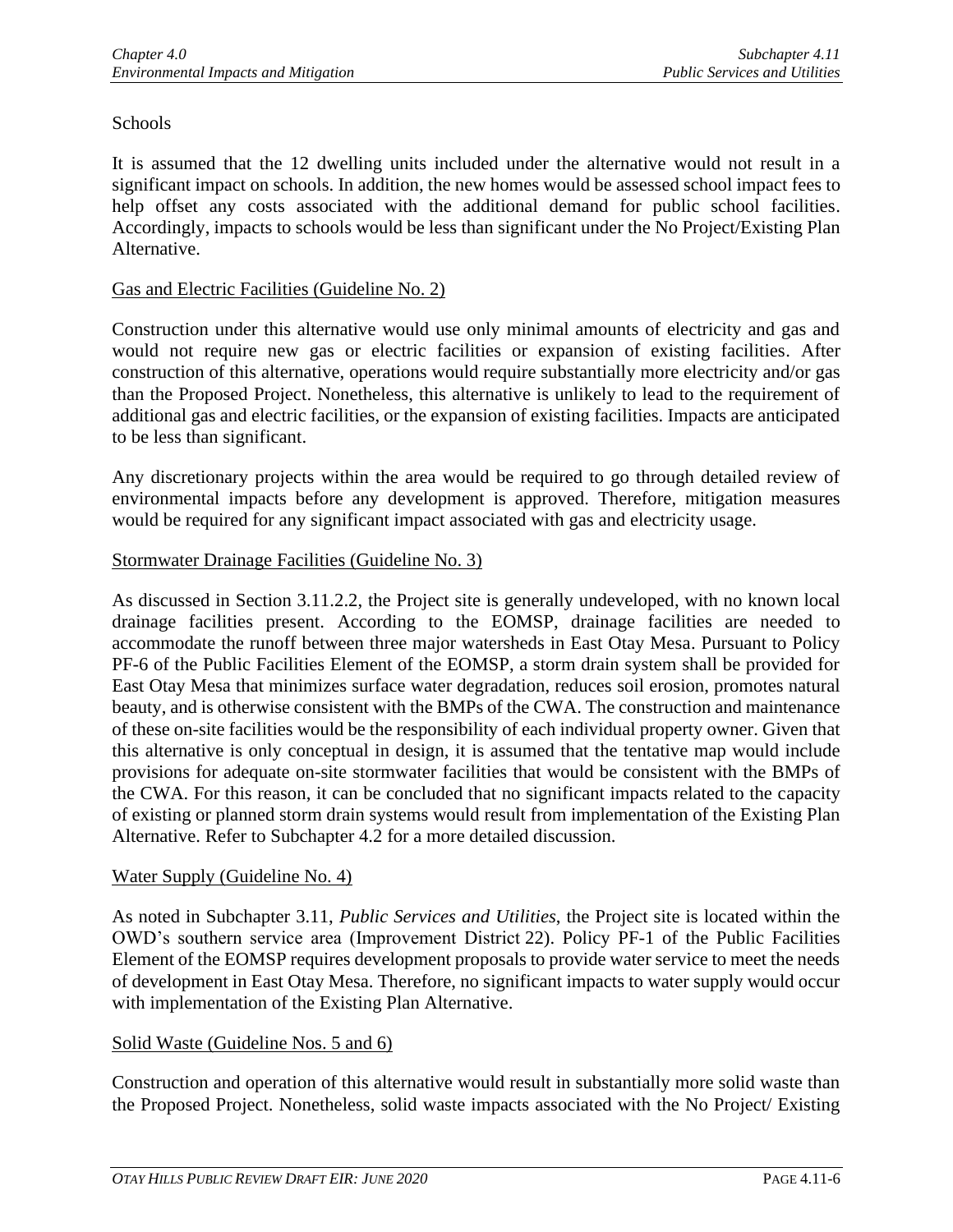## **Schools**

It is assumed that the 12 dwelling units included under the alternative would not result in a significant impact on schools. In addition, the new homes would be assessed school impact fees to help offset any costs associated with the additional demand for public school facilities. Accordingly, impacts to schools would be less than significant under the No Project/Existing Plan Alternative.

### Gas and Electric Facilities (Guideline No. 2)

Construction under this alternative would use only minimal amounts of electricity and gas and would not require new gas or electric facilities or expansion of existing facilities. After construction of this alternative, operations would require substantially more electricity and/or gas than the Proposed Project. Nonetheless, this alternative is unlikely to lead to the requirement of additional gas and electric facilities, or the expansion of existing facilities. Impacts are anticipated to be less than significant.

Any discretionary projects within the area would be required to go through detailed review of environmental impacts before any development is approved. Therefore, mitigation measures would be required for any significant impact associated with gas and electricity usage.

## Stormwater Drainage Facilities (Guideline No. 3)

As discussed in Section 3.11.2.2, the Project site is generally undeveloped, with no known local drainage facilities present. According to the EOMSP, drainage facilities are needed to accommodate the runoff between three major watersheds in East Otay Mesa. Pursuant to Policy PF-6 of the Public Facilities Element of the EOMSP, a storm drain system shall be provided for East Otay Mesa that minimizes surface water degradation, reduces soil erosion, promotes natural beauty, and is otherwise consistent with the BMPs of the CWA. The construction and maintenance of these on-site facilities would be the responsibility of each individual property owner. Given that this alternative is only conceptual in design, it is assumed that the tentative map would include provisions for adequate on-site stormwater facilities that would be consistent with the BMPs of the CWA. For this reason, it can be concluded that no significant impacts related to the capacity of existing or planned storm drain systems would result from implementation of the Existing Plan Alternative. Refer to Subchapter 4.2 for a more detailed discussion.

#### Water Supply (Guideline No. 4)

As noted in Subchapter 3.11, *Public Services and Utilities*, the Project site is located within the OWD's southern service area (Improvement District 22). Policy PF-1 of the Public Facilities Element of the EOMSP requires development proposals to provide water service to meet the needs of development in East Otay Mesa. Therefore, no significant impacts to water supply would occur with implementation of the Existing Plan Alternative.

#### Solid Waste (Guideline Nos. 5 and 6)

Construction and operation of this alternative would result in substantially more solid waste than the Proposed Project. Nonetheless, solid waste impacts associated with the No Project/ Existing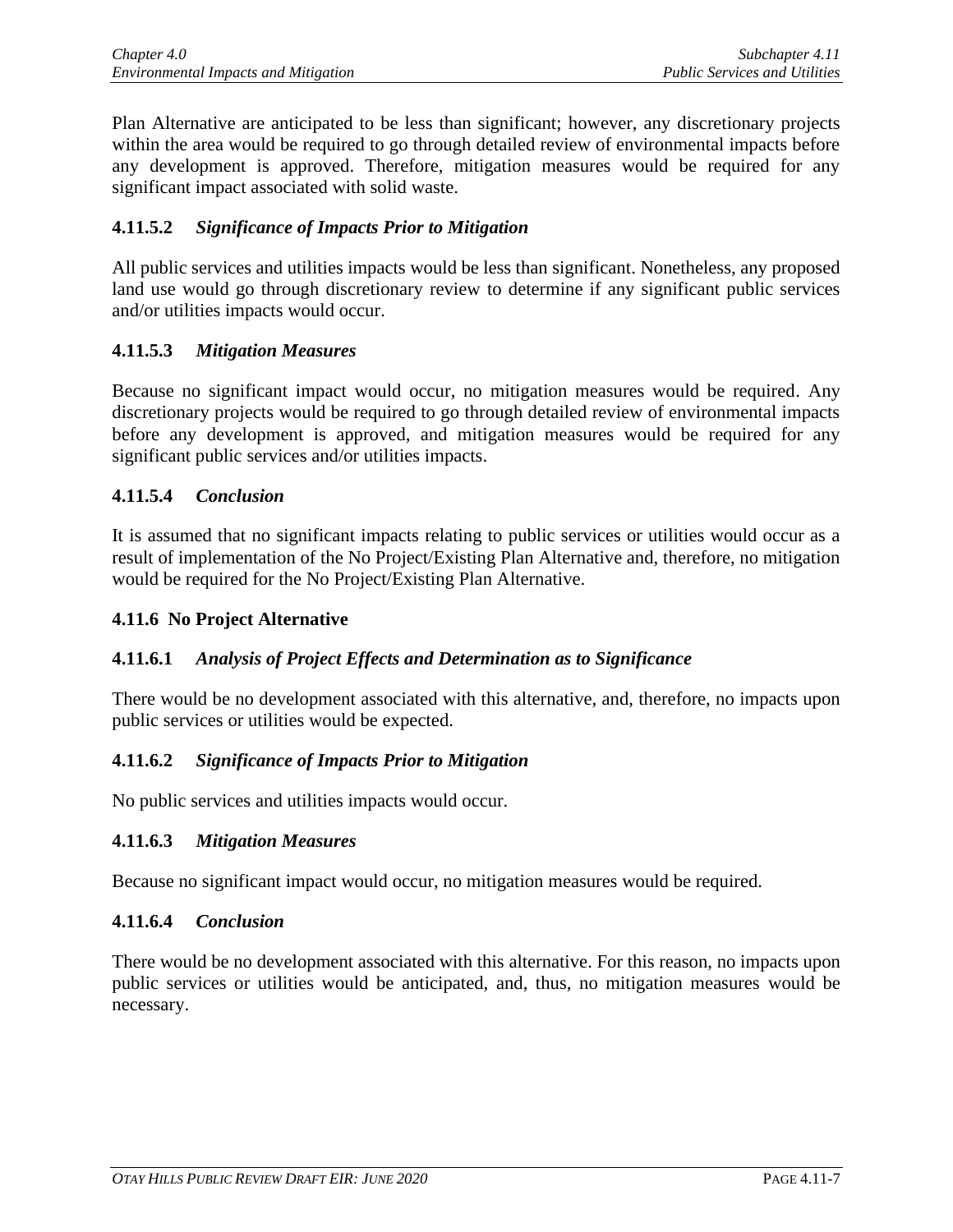Plan Alternative are anticipated to be less than significant; however, any discretionary projects within the area would be required to go through detailed review of environmental impacts before any development is approved. Therefore, mitigation measures would be required for any significant impact associated with solid waste.

## **4.11.5.2** *Significance of Impacts Prior to Mitigation*

All public services and utilities impacts would be less than significant. Nonetheless, any proposed land use would go through discretionary review to determine if any significant public services and/or utilities impacts would occur.

### **4.11.5.3** *Mitigation Measures*

Because no significant impact would occur, no mitigation measures would be required. Any discretionary projects would be required to go through detailed review of environmental impacts before any development is approved, and mitigation measures would be required for any significant public services and/or utilities impacts.

### **4.11.5.4** *Conclusion*

It is assumed that no significant impacts relating to public services or utilities would occur as a result of implementation of the No Project/Existing Plan Alternative and, therefore, no mitigation would be required for the No Project/Existing Plan Alternative.

#### **4.11.6 No Project Alternative**

## **4.11.6.1** *Analysis of Project Effects and Determination as to Significance*

There would be no development associated with this alternative, and, therefore, no impacts upon public services or utilities would be expected.

#### **4.11.6.2** *Significance of Impacts Prior to Mitigation*

No public services and utilities impacts would occur.

#### **4.11.6.3** *Mitigation Measures*

Because no significant impact would occur, no mitigation measures would be required.

#### **4.11.6.4** *Conclusion*

There would be no development associated with this alternative. For this reason, no impacts upon public services or utilities would be anticipated, and, thus, no mitigation measures would be necessary.